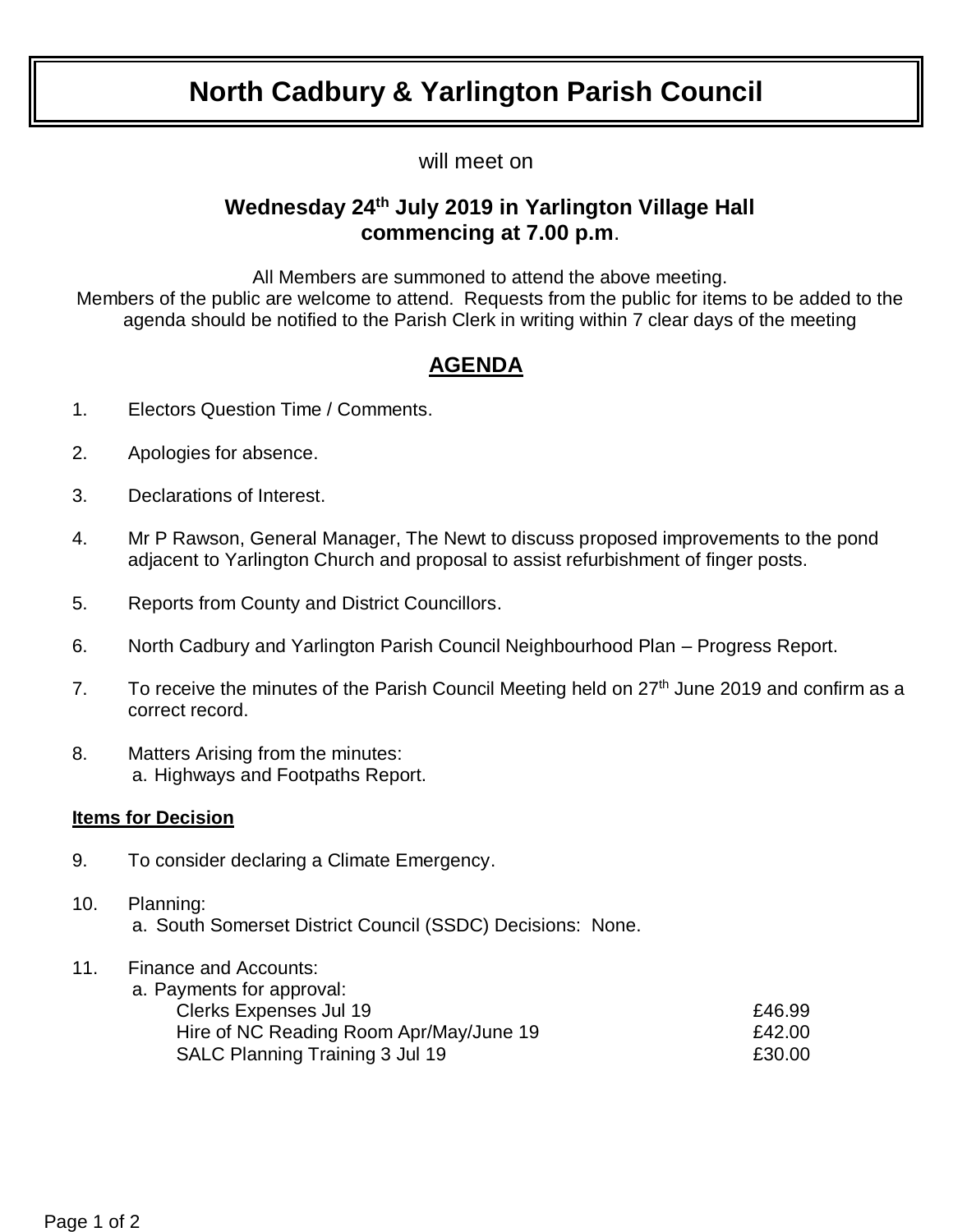# **North Cadbury & Yarlington Parish Council**

will meet on

### **Wednesday 24th July 2019 in Yarlington Village Hall commencing at 7.00 p.m**.

All Members are summoned to attend the above meeting.

Members of the public are welcome to attend. Requests from the public for items to be added to the agenda should be notified to the Parish Clerk in writing within 7 clear days of the meeting

## **AGENDA**

- 1. Electors Question Time / Comments.
- 2. Apologies for absence.
- 3. Declarations of Interest.
- 4. Mr P Rawson, General Manager, The Newt to discuss proposed improvements to the pond adjacent to Yarlington Church and proposal to assist refurbishment of finger posts.
- 5. Reports from County and District Councillors.
- 6. North Cadbury and Yarlington Parish Council Neighbourhood Plan Progress Report.
- 7. To receive the minutes of the Parish Council Meeting held on  $27<sup>th</sup>$  June 2019 and confirm as a correct record.
- 8. Matters Arising from the minutes: a. Highways and Footpaths Report.

### **Items for Decision**

- 9. To consider declaring a Climate Emergency.
- 10. Planning: a. South Somerset District Council (SSDC) Decisions: None.
- 11. Finance and Accounts:

| £46.99 |
|--------|
| £42.00 |
| £30.00 |
|        |